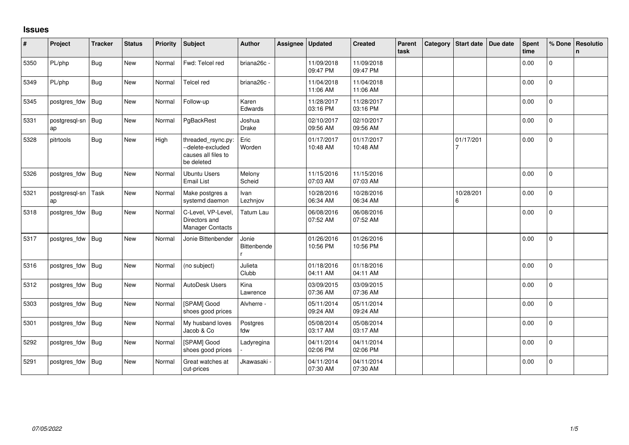## **Issues**

| #    | Project             | Tracker    | <b>Status</b> | <b>Priority</b> | <b>Subject</b>                                                               | <b>Author</b>        | Assignee | <b>Updated</b>         | <b>Created</b>         | Parent<br>task | Category Start date | Due date | <b>Spent</b><br>time | % Done         | Resolutio<br>n |
|------|---------------------|------------|---------------|-----------------|------------------------------------------------------------------------------|----------------------|----------|------------------------|------------------------|----------------|---------------------|----------|----------------------|----------------|----------------|
| 5350 | PL/php              | <b>Bug</b> | <b>New</b>    | Normal          | Fwd: Telcel red                                                              | briana26c -          |          | 11/09/2018<br>09:47 PM | 11/09/2018<br>09:47 PM |                |                     |          | 0.00                 | $\mathbf{0}$   |                |
| 5349 | PL/php              | <b>Bug</b> | New           | Normal          | <b>Telcel red</b>                                                            | briana26c -          |          | 11/04/2018<br>11:06 AM | 11/04/2018<br>11:06 AM |                |                     |          | 0.00                 | $\mathbf{0}$   |                |
| 5345 | postgres_fdw        | Bug        | New           | Normal          | Follow-up                                                                    | Karen<br>Edwards     |          | 11/28/2017<br>03:16 PM | 11/28/2017<br>03:16 PM |                |                     |          | 0.00                 | $\overline{0}$ |                |
| 5331 | postgresgl-sn<br>ap | <b>Bug</b> | New           | Normal          | PgBackRest                                                                   | Joshua<br>Drake      |          | 02/10/2017<br>09:56 AM | 02/10/2017<br>09:56 AM |                |                     |          | 0.00                 | $\mathbf 0$    |                |
| 5328 | pitrtools           | <b>Bug</b> | <b>New</b>    | High            | threaded_rsync.py:<br>--delete-excluded<br>causes all files to<br>be deleted | Eric<br>Worden       |          | 01/17/2017<br>10:48 AM | 01/17/2017<br>10:48 AM |                | 01/17/201           |          | 0.00                 | $\mathbf 0$    |                |
| 5326 | postgres_fdw        | Bug        | New           | Normal          | <b>Ubuntu Users</b><br><b>Email List</b>                                     | Melony<br>Scheid     |          | 11/15/2016<br>07:03 AM | 11/15/2016<br>07:03 AM |                |                     |          | 0.00                 | $\overline{0}$ |                |
| 5321 | postgresql-sn<br>ap | Task       | New           | Normal          | Make postgres a<br>systemd daemon                                            | Ivan<br>Lezhnjov     |          | 10/28/2016<br>06:34 AM | 10/28/2016<br>06:34 AM |                | 10/28/201<br>6      |          | 0.00                 | $\pmb{0}$      |                |
| 5318 | postgres_fdw        | <b>Bug</b> | <b>New</b>    | Normal          | C-Level, VP-Level<br>Directors and<br><b>Manager Contacts</b>                | Tatum Lau            |          | 06/08/2016<br>07:52 AM | 06/08/2016<br>07:52 AM |                |                     |          | 0.00                 | $\mathbf 0$    |                |
| 5317 | postgres_fdw        | <b>Bug</b> | New           | Normal          | Jonie Bittenbender                                                           | Jonie<br>Bittenbende |          | 01/26/2016<br>10:56 PM | 01/26/2016<br>10:56 PM |                |                     |          | 0.00                 | $\mathbf{0}$   |                |
| 5316 | postgres_fdw        | Bug        | New           | Normal          | (no subject)                                                                 | Julieta<br>Clubb     |          | 01/18/2016<br>04:11 AM | 01/18/2016<br>04:11 AM |                |                     |          | 0.00                 | $\mathbf 0$    |                |
| 5312 | postgres_fdw        | <b>Bug</b> | <b>New</b>    | Normal          | AutoDesk Users                                                               | Kina<br>Lawrence     |          | 03/09/2015<br>07:36 AM | 03/09/2015<br>07:36 AM |                |                     |          | 0.00                 | $\mathbf 0$    |                |
| 5303 | postgres_fdw        | Bug        | New           | Normal          | [SPAM] Good<br>shoes good prices                                             | Alvherre -           |          | 05/11/2014<br>09:24 AM | 05/11/2014<br>09:24 AM |                |                     |          | 0.00                 | $\overline{0}$ |                |
| 5301 | postgres_fdw        | Bug        | <b>New</b>    | Normal          | My husband loves<br>Jacob & Co                                               | Postgres<br>fdw      |          | 05/08/2014<br>03:17 AM | 05/08/2014<br>03:17 AM |                |                     |          | 0.00                 | $\mathbf 0$    |                |
| 5292 | postgres_fdw        | <b>Bug</b> | New           | Normal          | [SPAM] Good<br>shoes good prices                                             | Ladyregina           |          | 04/11/2014<br>02:06 PM | 04/11/2014<br>02:06 PM |                |                     |          | 0.00                 | $\mathsf{O}$   |                |
| 5291 | postgres_fdw        | <b>Bug</b> | <b>New</b>    | Normal          | Great watches at<br>cut-prices                                               | Jkawasaki            |          | 04/11/2014<br>07:30 AM | 04/11/2014<br>07:30 AM |                |                     |          | 0.00                 | $\mathbf 0$    |                |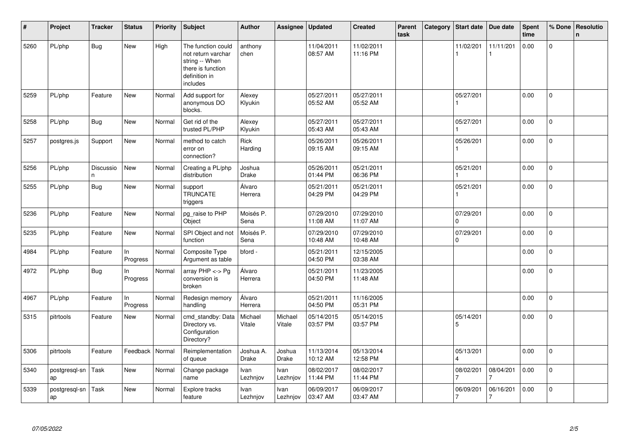| #    | Project             | <b>Tracker</b>          | <b>Status</b>  | <b>Priority</b> | <b>Subject</b>                                                                                               | <b>Author</b>             | Assignee          | <b>Updated</b>         | <b>Created</b>         | Parent<br>task | Category | <b>Start date</b>     | Due date       | Spent<br>time | % Done       | Resolutio<br>n. |
|------|---------------------|-------------------------|----------------|-----------------|--------------------------------------------------------------------------------------------------------------|---------------------------|-------------------|------------------------|------------------------|----------------|----------|-----------------------|----------------|---------------|--------------|-----------------|
| 5260 | PL/php              | <b>Bug</b>              | <b>New</b>     | High            | The function could<br>not return varchar<br>string -- When<br>there is function<br>definition in<br>includes | anthony<br>chen           |                   | 11/04/2011<br>08:57 AM | 11/02/2011<br>11:16 PM |                |          | 11/02/201             | 11/11/201      | 0.00          | 0            |                 |
| 5259 | PL/php              | Feature                 | <b>New</b>     | Normal          | Add support for<br>anonymous DO<br>blocks.                                                                   | Alexey<br>Klyukin         |                   | 05/27/2011<br>05:52 AM | 05/27/2011<br>05:52 AM |                |          | 05/27/201             |                | 0.00          | $\mathbf 0$  |                 |
| 5258 | PL/php              | <b>Bug</b>              | <b>New</b>     | Normal          | Get rid of the<br>trusted PL/PHP                                                                             | Alexey<br>Klyukin         |                   | 05/27/2011<br>05:43 AM | 05/27/2011<br>05:43 AM |                |          | 05/27/201             |                | 0.00          | $\mathbf 0$  |                 |
| 5257 | postgres.js         | Support                 | <b>New</b>     | Normal          | method to catch<br>error on<br>connection?                                                                   | Rick<br>Harding           |                   | 05/26/2011<br>09:15 AM | 05/26/2011<br>09:15 AM |                |          | 05/26/201             |                | 0.00          | $\pmb{0}$    |                 |
| 5256 | PL/php              | <b>Discussio</b><br>l n | <b>New</b>     | Normal          | Creating a PL/php<br>distribution                                                                            | Joshua<br>Drake           |                   | 05/26/2011<br>01:44 PM | 05/21/2011<br>06:36 PM |                |          | 05/21/201             |                | 0.00          | $\mathbf{0}$ |                 |
| 5255 | PL/php              | <b>Bug</b>              | <b>New</b>     | Normal          | support<br><b>TRUNCATE</b><br>triggers                                                                       | Álvaro<br>Herrera         |                   | 05/21/2011<br>04:29 PM | 05/21/2011<br>04:29 PM |                |          | 05/21/201             |                | 0.00          | $\mathbf 0$  |                 |
| 5236 | PL/php              | Feature                 | <b>New</b>     | Normal          | pg_raise to PHP<br>Object                                                                                    | Moisés P.<br>Sena         |                   | 07/29/2010<br>11:08 AM | 07/29/2010<br>11:07 AM |                |          | 07/29/201<br>$\Omega$ |                | 0.00          | $\mathbf 0$  |                 |
| 5235 | PL/php              | Feature                 | <b>New</b>     | Normal          | SPI Object and not<br>function                                                                               | Moisés P.<br>Sena         |                   | 07/29/2010<br>10:48 AM | 07/29/2010<br>10:48 AM |                |          | 07/29/201<br>0        |                | 0.00          | $\mathbf 0$  |                 |
| 4984 | PL/php              | Feature                 | In<br>Progress | Normal          | Composite Type<br>Argument as table                                                                          | bford -                   |                   | 05/21/2011<br>04:50 PM | 12/15/2005<br>03:38 AM |                |          |                       |                | 0.00          | $\mathbf{0}$ |                 |
| 4972 | PL/php              | <b>Bug</b>              | In<br>Progress | Normal          | array PHP <-> Pg<br>conversion is<br>broken                                                                  | Álvaro<br>Herrera         |                   | 05/21/2011<br>04:50 PM | 11/23/2005<br>11:48 AM |                |          |                       |                | 0.00          | $\mathbf 0$  |                 |
| 4967 | PL/php              | Feature                 | In<br>Progress | Normal          | Redesign memory<br>handling                                                                                  | Álvaro<br>Herrera         |                   | 05/21/2011<br>04:50 PM | 11/16/2005<br>05:31 PM |                |          |                       |                | 0.00          | $\mathbf 0$  |                 |
| 5315 | pitrtools           | Feature                 | New            | Normal          | cmd standby: Data<br>Directory vs.<br>Configuration<br>Directory?                                            | Michael<br>Vitale         | Michael<br>Vitale | 05/14/2015<br>03:57 PM | 05/14/2015<br>03:57 PM |                |          | 05/14/201<br>5        |                | 0.00          | $\mathbf 0$  |                 |
| 5306 | pitrtools           | Feature                 | Feedback       | Normal          | Reimplementation<br>of queue                                                                                 | Joshua A.<br><b>Drake</b> | Joshua<br>Drake   | 11/13/2014<br>10:12 AM | 05/13/2014<br>12:58 PM |                |          | 05/13/201             |                | 0.00          | $\mathbf 0$  |                 |
| 5340 | postgresql-sn<br>ap | Task                    | <b>New</b>     | Normal          | Change package<br>name                                                                                       | Ivan<br>Lezhnjov          | Ivan<br>Lezhnjov  | 08/02/2017<br>11:44 PM | 08/02/2017<br>11:44 PM |                |          | 08/02/201<br>7        | 08/04/201<br>7 | 0.00          | $\pmb{0}$    |                 |
| 5339 | postgresql-sn<br>ap | Task                    | <b>New</b>     | Normal          | Explore tracks<br>feature                                                                                    | Ivan<br>Lezhnjov          | Ivan<br>Lezhnjov  | 06/09/2017<br>03:47 AM | 06/09/2017<br>03:47 AM |                |          | 06/09/201             | 06/16/201<br>7 | 0.00          | $\mathbf 0$  |                 |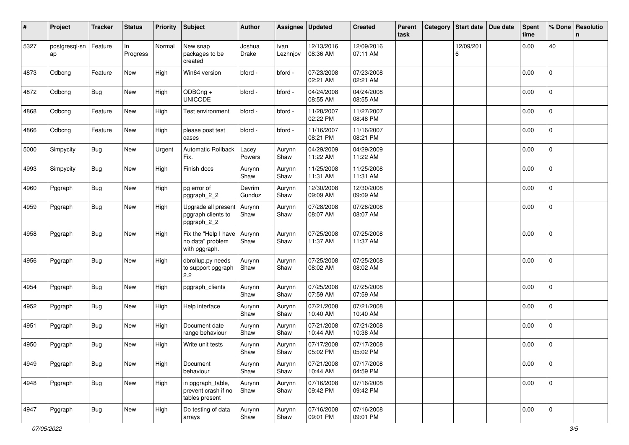| #    | Project             | <b>Tracker</b> | <b>Status</b>  | <b>Priority</b> | <b>Subject</b>                                             | <b>Author</b>    | Assignee         | <b>Updated</b>         | <b>Created</b>         | Parent<br>task | Category | <b>Start date</b> | Due date | <b>Spent</b><br>time | % Done              | Resolutio<br>n. |
|------|---------------------|----------------|----------------|-----------------|------------------------------------------------------------|------------------|------------------|------------------------|------------------------|----------------|----------|-------------------|----------|----------------------|---------------------|-----------------|
| 5327 | postgresql-sn<br>ap | Feature        | In<br>Progress | Normal          | New snap<br>packages to be<br>created                      | Joshua<br>Drake  | Ivan<br>Lezhnjov | 12/13/2016<br>08:36 AM | 12/09/2016<br>07:11 AM |                |          | 12/09/201<br>6    |          | 0.00                 | 40                  |                 |
| 4873 | Odbcng              | Feature        | New            | High            | Win64 version                                              | bford -          | bford -          | 07/23/2008<br>02:21 AM | 07/23/2008<br>02:21 AM |                |          |                   |          | 0.00                 | $\pmb{0}$           |                 |
| 4872 | Odbcng              | Bug            | New            | High            | ODBCng +<br><b>UNICODE</b>                                 | bford -          | bford -          | 04/24/2008<br>08:55 AM | 04/24/2008<br>08:55 AM |                |          |                   |          | 0.00                 | $\mathbf{0}$        |                 |
| 4868 | Odbcng              | Feature        | New            | High            | Test environment                                           | bford -          | bford -          | 11/28/2007<br>02:22 PM | 11/27/2007<br>08:48 PM |                |          |                   |          | 0.00                 | 0                   |                 |
| 4866 | Odbcng              | Feature        | New            | High            | please post test<br>cases                                  | bford -          | bford -          | 11/16/2007<br>08:21 PM | 11/16/2007<br>08:21 PM |                |          |                   |          | 0.00                 | $\mathbf 0$         |                 |
| 5000 | Simpycity           | Bug            | New            | Urgent          | <b>Automatic Rollback</b><br>Fix.                          | Lacey<br>Powers  | Aurynn<br>Shaw   | 04/29/2009<br>11:22 AM | 04/29/2009<br>11:22 AM |                |          |                   |          | 0.00                 | $\overline{0}$      |                 |
| 4993 | Simpycity           | <b>Bug</b>     | New            | High            | Finish docs                                                | Aurynn<br>Shaw   | Aurynn<br>Shaw   | 11/25/2008<br>11:31 AM | 11/25/2008<br>11:31 AM |                |          |                   |          | 0.00                 | $\overline{0}$      |                 |
| 4960 | Pggraph             | <b>Bug</b>     | New            | High            | pg error of<br>pggraph_2_2                                 | Devrim<br>Gunduz | Aurynn<br>Shaw   | 12/30/2008<br>09:09 AM | 12/30/2008<br>09:09 AM |                |          |                   |          | 0.00                 | 0                   |                 |
| 4959 | Pggraph             | <b>Bug</b>     | New            | High            | Upgrade all present<br>pggraph clients to<br>pggraph_2_2   | Aurynn<br>Shaw   | Aurynn<br>Shaw   | 07/28/2008<br>08:07 AM | 07/28/2008<br>08:07 AM |                |          |                   |          | 0.00                 | 0                   |                 |
| 4958 | Pggraph             | Bug            | New            | High            | Fix the "Help I have<br>no data" problem<br>with pggraph.  | Aurynn<br>Shaw   | Aurynn<br>Shaw   | 07/25/2008<br>11:37 AM | 07/25/2008<br>11:37 AM |                |          |                   |          | 0.00                 | $\mathbf 0$         |                 |
| 4956 | Pggraph             | <b>Bug</b>     | New            | High            | dbrollup.py needs<br>to support pggraph<br>2.2             | Aurynn<br>Shaw   | Aurynn<br>Shaw   | 07/25/2008<br>08:02 AM | 07/25/2008<br>08:02 AM |                |          |                   |          | 0.00                 | $\mathbf 0$         |                 |
| 4954 | Pggraph             | <b>Bug</b>     | New            | High            | pggraph_clients                                            | Aurynn<br>Shaw   | Aurynn<br>Shaw   | 07/25/2008<br>07:59 AM | 07/25/2008<br>07:59 AM |                |          |                   |          | 0.00                 | $\mathbf 0$         |                 |
| 4952 | Pggraph             | Bug            | New            | High            | Help interface                                             | Aurynn<br>Shaw   | Aurynn<br>Shaw   | 07/21/2008<br>10:40 AM | 07/21/2008<br>10:40 AM |                |          |                   |          | 0.00                 | $\mathbf 0$         |                 |
| 4951 | Pggraph             | <b>Bug</b>     | New            | High            | Document date<br>range behaviour                           | Aurynn<br>Shaw   | Aurynn<br>Shaw   | 07/21/2008<br>10:44 AM | 07/21/2008<br>10:38 AM |                |          |                   |          | 0.00                 | $\mathbf{0}$        |                 |
| 4950 | Pggraph             | <b>Bug</b>     | New            | High            | Write unit tests                                           | Aurynn<br>Shaw   | Aurynn<br>Shaw   | 07/17/2008<br>05:02 PM | 07/17/2008<br>05:02 PM |                |          |                   |          | 0.00                 | 0                   |                 |
| 4949 | Pggraph             | <b>Bug</b>     | New            | High            | Document<br>behaviour                                      | Aurynn<br>Shaw   | Aurynn<br>Shaw   | 07/21/2008<br>10:44 AM | 07/17/2008<br>04:59 PM |                |          |                   |          | 0.00                 | $\mathsf{O}\xspace$ |                 |
| 4948 | Pggraph             | <b>Bug</b>     | New            | High            | in pggraph_table,<br>prevent crash if no<br>tables present | Aurynn<br>Shaw   | Aurynn<br>Shaw   | 07/16/2008<br>09:42 PM | 07/16/2008<br>09:42 PM |                |          |                   |          | 0.00                 | $\mathsf{O}\xspace$ |                 |
| 4947 | Pggraph             | <b>Bug</b>     | New            | High            | Do testing of data<br>arrays                               | Aurynn<br>Shaw   | Aurynn<br>Shaw   | 07/16/2008<br>09:01 PM | 07/16/2008<br>09:01 PM |                |          |                   |          | 0.00                 | $\mathsf 0$         |                 |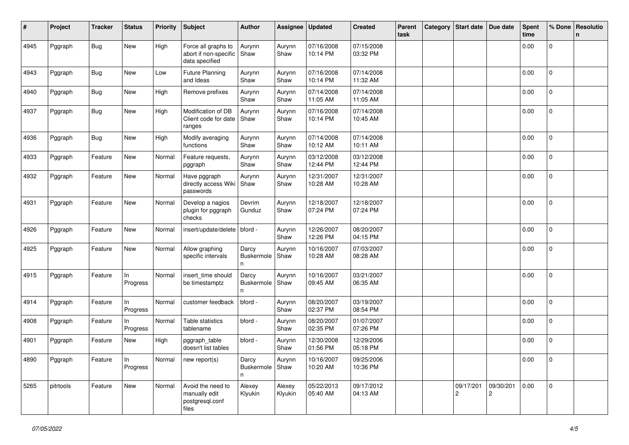| #    | Project   | <b>Tracker</b> | <b>Status</b>  | <b>Priority</b> | <b>Subject</b>                                                 | Author                   | Assignee          | <b>Updated</b>         | <b>Created</b>         | Parent<br>task | Category | Start date   Due date |                | Spent<br>time | % Done         | Resolutio<br>n |
|------|-----------|----------------|----------------|-----------------|----------------------------------------------------------------|--------------------------|-------------------|------------------------|------------------------|----------------|----------|-----------------------|----------------|---------------|----------------|----------------|
| 4945 | Pggraph   | <b>Bug</b>     | New            | High            | Force all graphs to<br>abort if non-specific<br>data specified | Aurynn<br>Shaw           | Aurynn<br>Shaw    | 07/16/2008<br>10:14 PM | 07/15/2008<br>03:32 PM |                |          |                       |                | 0.00          | 0              |                |
| 4943 | Pggraph   | <b>Bug</b>     | New            | Low             | Future Planning<br>and Ideas                                   | Aurynn<br>Shaw           | Aurynn<br>Shaw    | 07/16/2008<br>10:14 PM | 07/14/2008<br>11:32 AM |                |          |                       |                | 0.00          | $\mathbf 0$    |                |
| 4940 | Pggraph   | <b>Bug</b>     | New            | High            | Remove prefixes                                                | Aurynn<br>Shaw           | Aurynn<br>Shaw    | 07/14/2008<br>11:05 AM | 07/14/2008<br>11:05 AM |                |          |                       |                | 0.00          | $\mathbf 0$    |                |
| 4937 | Pggraph   | <b>Bug</b>     | New            | High            | Modification of DB<br>Client code for date<br>ranges           | Aurynn<br>Shaw           | Aurynn<br>Shaw    | 07/16/2008<br>10:14 PM | 07/14/2008<br>10:45 AM |                |          |                       |                | 0.00          | 0              |                |
| 4936 | Pggraph   | <b>Bug</b>     | New            | High            | Modify averaging<br>functions                                  | Aurynn<br>Shaw           | Aurynn<br>Shaw    | 07/14/2008<br>10:12 AM | 07/14/2008<br>10:11 AM |                |          |                       |                | 0.00          | $\overline{0}$ |                |
| 4933 | Pggraph   | Feature        | New            | Normal          | Feature requests,<br>pggraph                                   | Aurynn<br>Shaw           | Aurynn<br>Shaw    | 03/12/2008<br>12:44 PM | 03/12/2008<br>12:44 PM |                |          |                       |                | 0.00          | $\mathbf 0$    |                |
| 4932 | Pggraph   | Feature        | New            | Normal          | Have pggraph<br>directly access Wiki<br>passwords              | Aurynn<br>Shaw           | Aurynn<br>Shaw    | 12/31/2007<br>10:28 AM | 12/31/2007<br>10:28 AM |                |          |                       |                | 0.00          | 0              |                |
| 4931 | Pggraph   | Feature        | New            | Normal          | Develop a nagios<br>plugin for pggraph<br>checks               | Devrim<br>Gunduz         | Aurynn<br>Shaw    | 12/18/2007<br>07:24 PM | 12/18/2007<br>07:24 PM |                |          |                       |                | 0.00          | 0              |                |
| 4926 | Pggraph   | Feature        | New            | Normal          | insert/update/delete                                           | bford -                  | Aurynn<br>Shaw    | 12/26/2007<br>12:26 PM | 08/20/2007<br>04:15 PM |                |          |                       |                | 0.00          | 0              |                |
| 4925 | Pggraph   | Feature        | New            | Normal          | Allow graphing<br>specific intervals                           | Darcy<br>Buskermole<br>n | Aurynn<br>Shaw    | 10/16/2007<br>10:28 AM | 07/03/2007<br>08:28 AM |                |          |                       |                | 0.00          | $\mathbf{0}$   |                |
| 4915 | Pggraph   | Feature        | In<br>Progress | Normal          | insert_time should<br>be timestamptz                           | Darcy<br>Buskermole<br>n | Aurynn<br>Shaw    | 10/16/2007<br>09:45 AM | 03/21/2007<br>06:35 AM |                |          |                       |                | 0.00          | $\mathbf{0}$   |                |
| 4914 | Pggraph   | Feature        | In<br>Progress | Normal          | customer feedback                                              | bford -                  | Aurynn<br>Shaw    | 08/20/2007<br>02:37 PM | 03/19/2007<br>08:54 PM |                |          |                       |                | 0.00          | $\overline{0}$ |                |
| 4908 | Pggraph   | Feature        | In<br>Progress | Normal          | Table statistics<br>tablename                                  | bford -                  | Aurynn<br>Shaw    | 08/20/2007<br>02:35 PM | 01/07/2007<br>07:26 PM |                |          |                       |                | 0.00          | $\overline{0}$ |                |
| 4901 | Pggraph   | Feature        | New            | High            | pggraph_table<br>doesn't list tables                           | bford -                  | Aurynn<br>Shaw    | 12/30/2008<br>01:56 PM | 12/29/2006<br>05:18 PM |                |          |                       |                | 0.00          | 0              |                |
| 4890 | Pggraph   | Feature        | In<br>Progress | Normal          | new report(s)                                                  | Darcy<br>Buskermole<br>n | Aurynn<br>Shaw    | 10/16/2007<br>10:20 AM | 09/25/2006<br>10:36 PM |                |          |                       |                | 0.00          | 0              |                |
| 5265 | pitrtools | Feature        | New            | Normal          | Avoid the need to<br>manually edit<br>postgresql.conf<br>files | Alexey<br>Klyukin        | Alexey<br>Klyukin | 05/22/2013<br>05:40 AM | 09/17/2012<br>04:13 AM |                |          | 09/17/201<br>2        | 09/30/201<br>2 | 0.00          | $\mathsf 0$    |                |